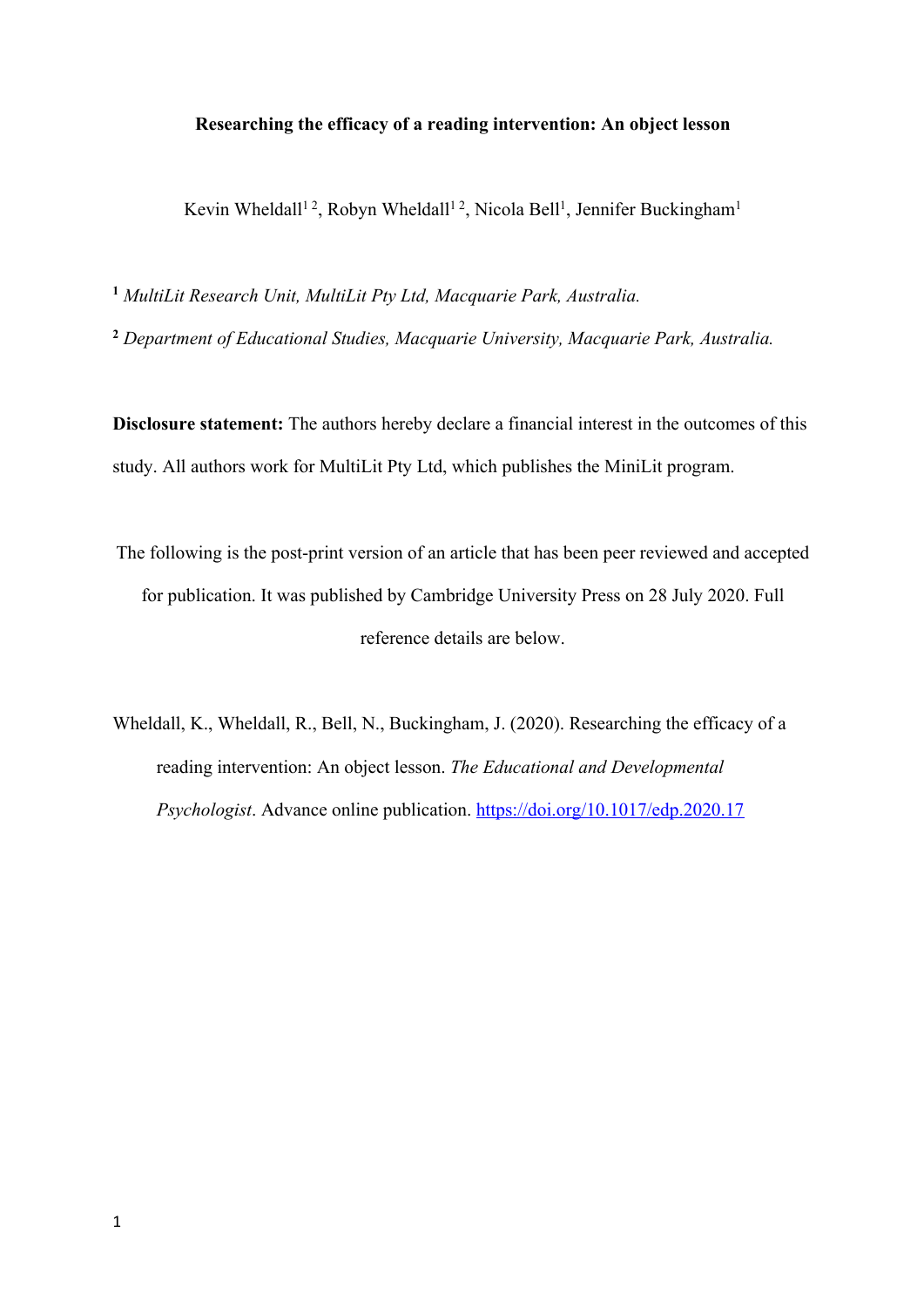# **Researching the efficacy of a reading intervention: An object lesson**

Kevin Wheldall<sup>12</sup>, Robyn Wheldall<sup>12</sup>, Nicola Bell<sup>1</sup>, Jennifer Buckingham<sup>1</sup>

**<sup>1</sup>** *MultiLit Research Unit, MultiLit Pty Ltd, Macquarie Park, Australia.*

**<sup>2</sup>** *Department of Educational Studies, Macquarie University, Macquarie Park, Australia.*

**Disclosure statement:** The authors hereby declare a financial interest in the outcomes of this study. All authors work for MultiLit Pty Ltd, which publishes the MiniLit program.

- The following is the post-print version of an article that has been peer reviewed and accepted for publication. It was published by Cambridge University Press on 28 July 2020. Full reference details are below.
- Wheldall, K., Wheldall, R., Bell, N., Buckingham, J. (2020). Researching the efficacy of a reading intervention: An object lesson. *The Educational and Developmental Psychologist*. Advance online publication. https://doi.org/10.1017/edp.2020.17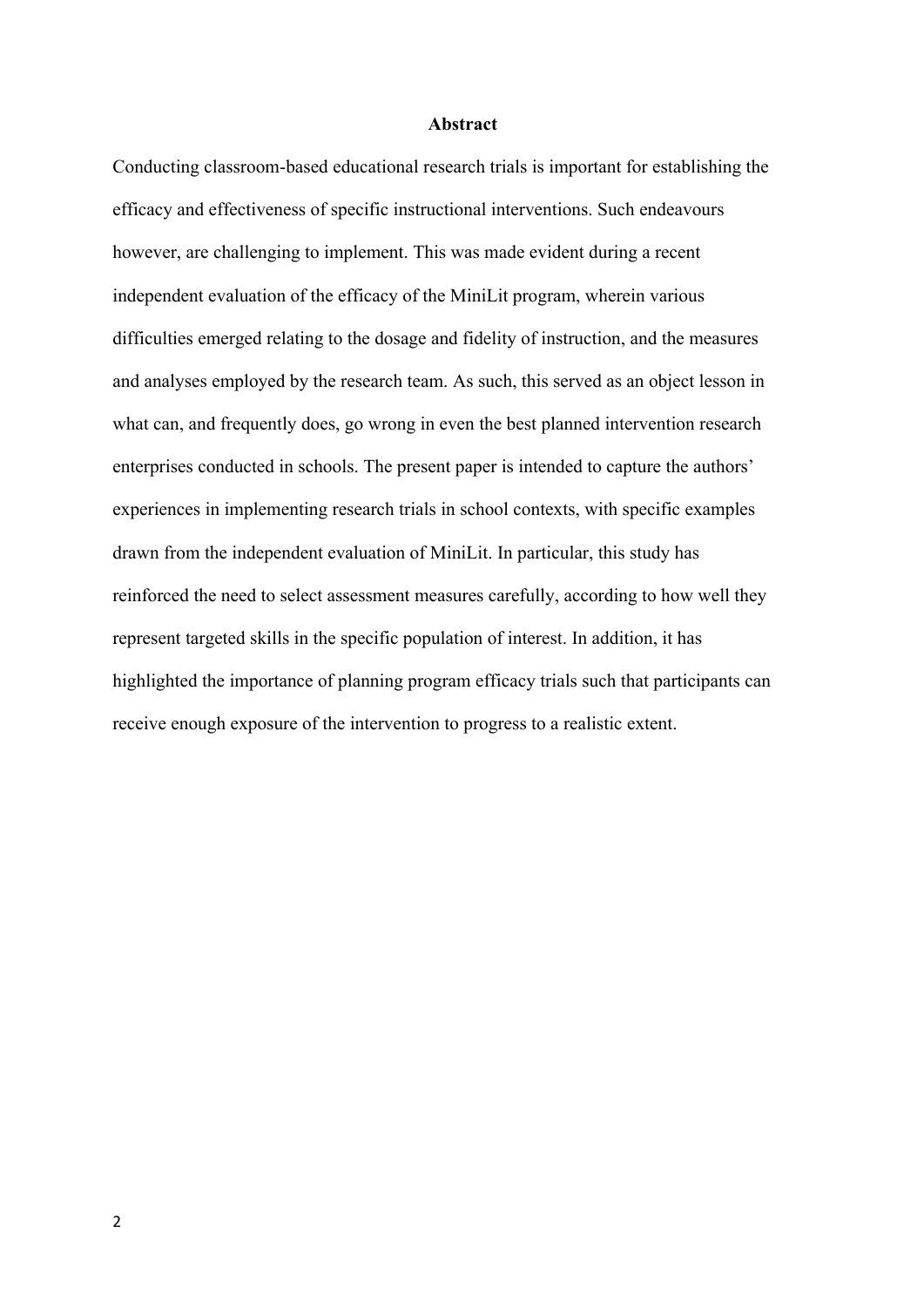### **Abstract**

Conducting classroom-based educational research trials is important for establishing the efficacy and effectiveness of specific instructional interventions. Such endeavours however, are challenging to implement. This was made evident during a recent independent evaluation of the efficacy of the MiniLit program, wherein various difficulties emerged relating to the dosage and fidelity of instruction, and the measures and analyses employed by the research team. As such, this served as an object lesson in what can, and frequently does, go wrong in even the best planned intervention research enterprises conducted in schools. The present paper is intended to capture the authors' experiences in implementing research trials in school contexts, with specific examples drawn from the independent evaluation of MiniLit. In particular, this study has reinforced the need to select assessment measures carefully, according to how well they represent targeted skills in the specific population of interest. In addition, it has highlighted the importance of planning program efficacy trials such that participants can receive enough exposure of the intervention to progress to a realistic extent.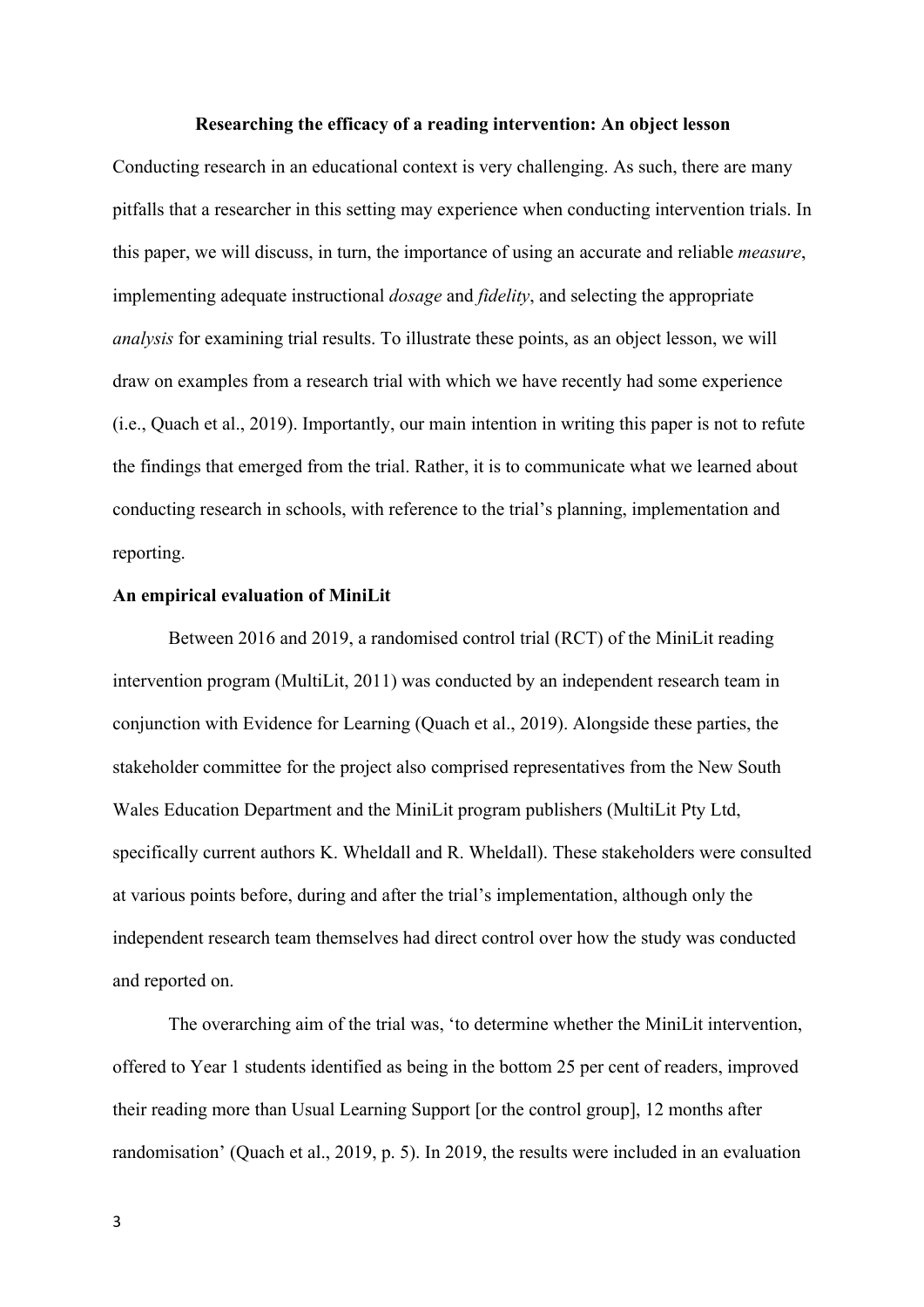#### **Researching the efficacy of a reading intervention: An object lesson**

Conducting research in an educational context is very challenging. As such, there are many pitfalls that a researcher in this setting may experience when conducting intervention trials. In this paper, we will discuss, in turn, the importance of using an accurate and reliable *measure*, implementing adequate instructional *dosage* and *fidelity*, and selecting the appropriate *analysis* for examining trial results. To illustrate these points, as an object lesson, we will draw on examples from a research trial with which we have recently had some experience (i.e., Quach et al., 2019). Importantly, our main intention in writing this paper is not to refute the findings that emerged from the trial. Rather, it is to communicate what we learned about conducting research in schools, with reference to the trial's planning, implementation and reporting.

#### **An empirical evaluation of MiniLit**

Between 2016 and 2019, a randomised control trial (RCT) of the MiniLit reading intervention program (MultiLit, 2011) was conducted by an independent research team in conjunction with Evidence for Learning (Quach et al., 2019). Alongside these parties, the stakeholder committee for the project also comprised representatives from the New South Wales Education Department and the MiniLit program publishers (MultiLit Pty Ltd, specifically current authors K. Wheldall and R. Wheldall). These stakeholders were consulted at various points before, during and after the trial's implementation, although only the independent research team themselves had direct control over how the study was conducted and reported on.

The overarching aim of the trial was, 'to determine whether the MiniLit intervention, offered to Year 1 students identified as being in the bottom 25 per cent of readers, improved their reading more than Usual Learning Support [or the control group], 12 months after randomisation' (Quach et al., 2019, p. 5). In 2019, the results were included in an evaluation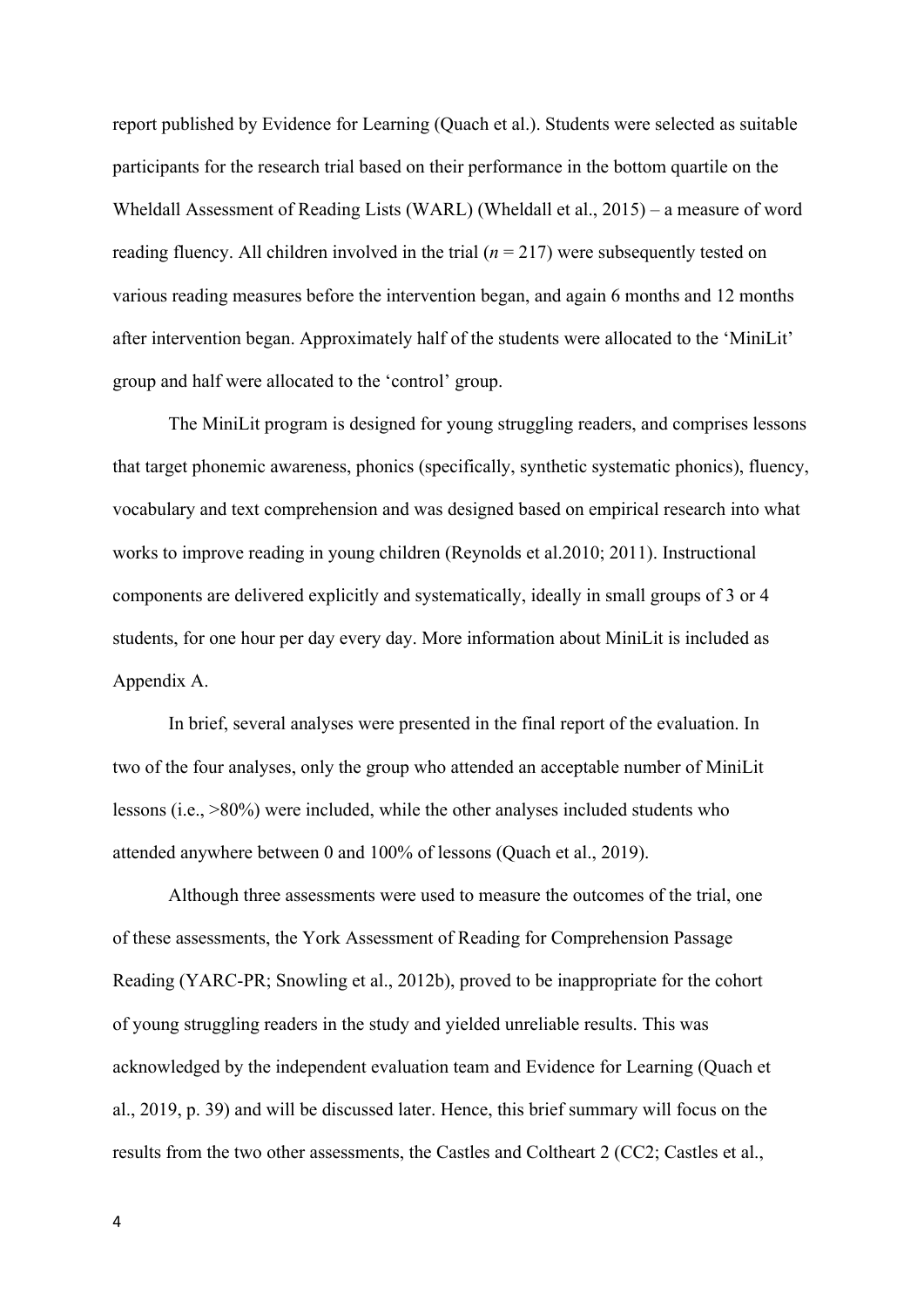report published by Evidence for Learning (Quach et al.). Students were selected as suitable participants for the research trial based on their performance in the bottom quartile on the Wheldall Assessment of Reading Lists (WARL) (Wheldall et al., 2015) – a measure of word reading fluency. All children involved in the trial  $(n = 217)$  were subsequently tested on various reading measures before the intervention began, and again 6 months and 12 months after intervention began. Approximately half of the students were allocated to the 'MiniLit' group and half were allocated to the 'control' group.

The MiniLit program is designed for young struggling readers, and comprises lessons that target phonemic awareness, phonics (specifically, synthetic systematic phonics), fluency, vocabulary and text comprehension and was designed based on empirical research into what works to improve reading in young children (Reynolds et al.2010; 2011). Instructional components are delivered explicitly and systematically, ideally in small groups of 3 or 4 students, for one hour per day every day. More information about MiniLit is included as Appendix A.

In brief, several analyses were presented in the final report of the evaluation. In two of the four analyses, only the group who attended an acceptable number of MiniLit lessons (i.e., >80%) were included, while the other analyses included students who attended anywhere between 0 and 100% of lessons (Quach et al., 2019).

Although three assessments were used to measure the outcomes of the trial, one of these assessments, the York Assessment of Reading for Comprehension Passage Reading (YARC-PR; Snowling et al., 2012b), proved to be inappropriate for the cohort of young struggling readers in the study and yielded unreliable results. This was acknowledged by the independent evaluation team and Evidence for Learning (Quach et al., 2019, p. 39) and will be discussed later. Hence, this brief summary will focus on the results from the two other assessments, the Castles and Coltheart 2 (CC2; Castles et al.,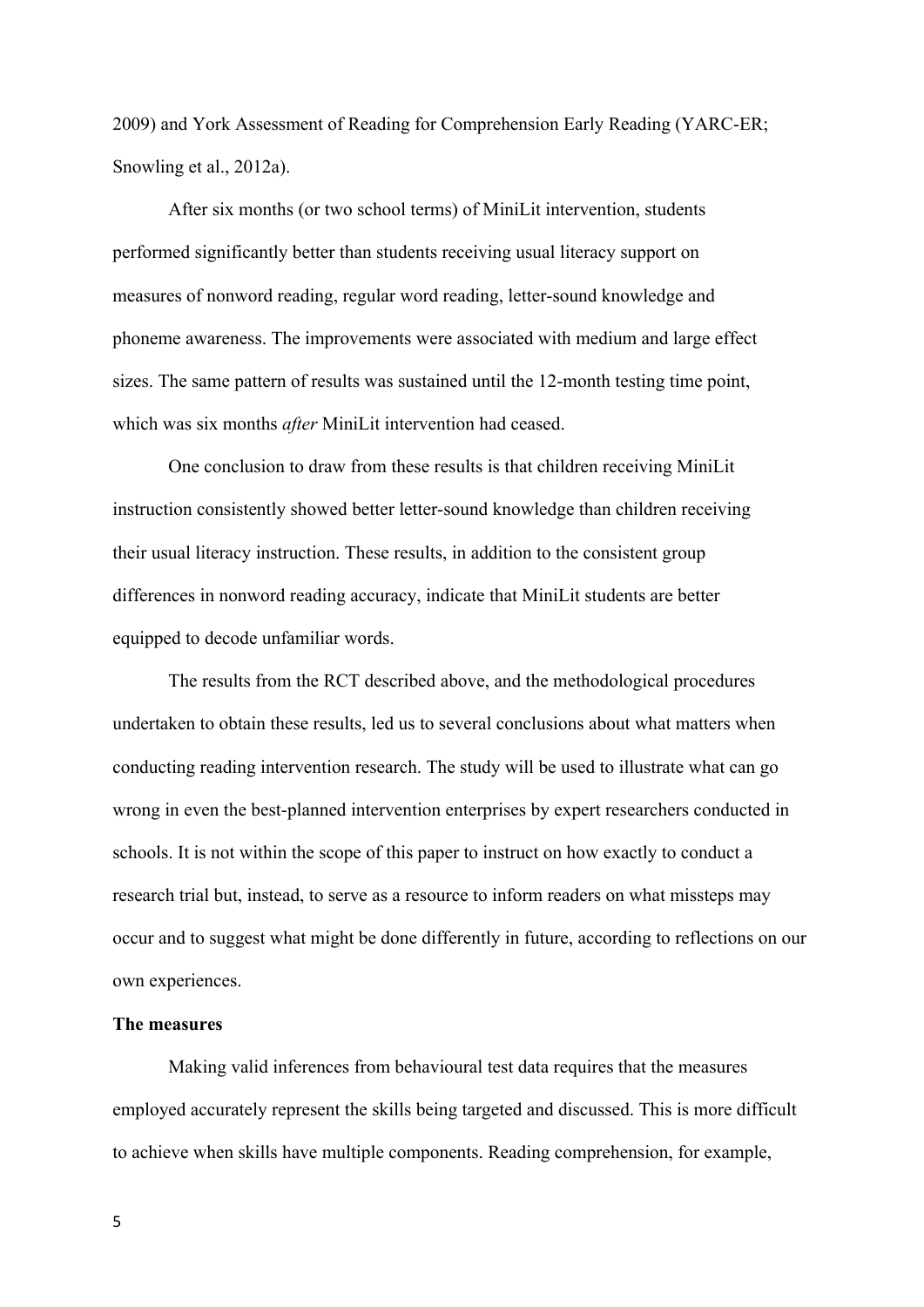2009) and York Assessment of Reading for Comprehension Early Reading (YARC-ER; Snowling et al., 2012a).

After six months (or two school terms) of MiniLit intervention, students performed significantly better than students receiving usual literacy support on measures of nonword reading, regular word reading, letter-sound knowledge and phoneme awareness. The improvements were associated with medium and large effect sizes. The same pattern of results was sustained until the 12-month testing time point, which was six months *after* MiniLit intervention had ceased.

One conclusion to draw from these results is that children receiving MiniLit instruction consistently showed better letter-sound knowledge than children receiving their usual literacy instruction. These results, in addition to the consistent group differences in nonword reading accuracy, indicate that MiniLit students are better equipped to decode unfamiliar words.

The results from the RCT described above, and the methodological procedures undertaken to obtain these results, led us to several conclusions about what matters when conducting reading intervention research. The study will be used to illustrate what can go wrong in even the best-planned intervention enterprises by expert researchers conducted in schools. It is not within the scope of this paper to instruct on how exactly to conduct a research trial but, instead, to serve as a resource to inform readers on what missteps may occur and to suggest what might be done differently in future, according to reflections on our own experiences.

## **The measures**

Making valid inferences from behavioural test data requires that the measures employed accurately represent the skills being targeted and discussed. This is more difficult to achieve when skills have multiple components. Reading comprehension, for example,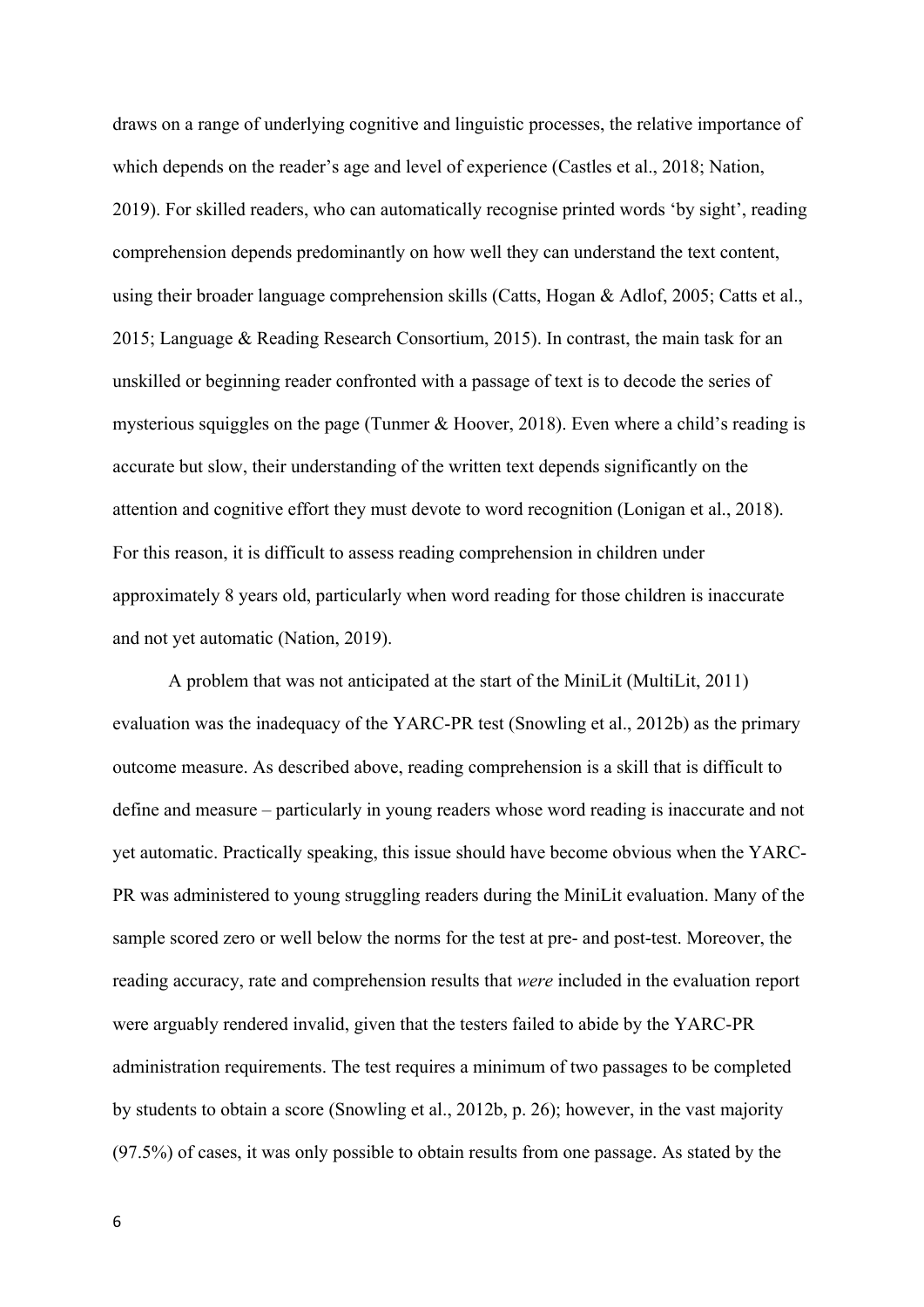draws on a range of underlying cognitive and linguistic processes, the relative importance of which depends on the reader's age and level of experience (Castles et al., 2018; Nation, 2019). For skilled readers, who can automatically recognise printed words 'by sight', reading comprehension depends predominantly on how well they can understand the text content, using their broader language comprehension skills (Catts, Hogan & Adlof, 2005; Catts et al., 2015; Language & Reading Research Consortium, 2015). In contrast, the main task for an unskilled or beginning reader confronted with a passage of text is to decode the series of mysterious squiggles on the page (Tunmer & Hoover, 2018). Even where a child's reading is accurate but slow, their understanding of the written text depends significantly on the attention and cognitive effort they must devote to word recognition (Lonigan et al., 2018). For this reason, it is difficult to assess reading comprehension in children under approximately 8 years old, particularly when word reading for those children is inaccurate and not yet automatic (Nation, 2019).

A problem that was not anticipated at the start of the MiniLit (MultiLit, 2011) evaluation was the inadequacy of the YARC-PR test (Snowling et al., 2012b) as the primary outcome measure. As described above, reading comprehension is a skill that is difficult to define and measure – particularly in young readers whose word reading is inaccurate and not yet automatic. Practically speaking, this issue should have become obvious when the YARC-PR was administered to young struggling readers during the MiniLit evaluation. Many of the sample scored zero or well below the norms for the test at pre- and post-test. Moreover, the reading accuracy, rate and comprehension results that *were* included in the evaluation report were arguably rendered invalid, given that the testers failed to abide by the YARC-PR administration requirements. The test requires a minimum of two passages to be completed by students to obtain a score (Snowling et al., 2012b, p. 26); however, in the vast majority (97.5%) of cases, it was only possible to obtain results from one passage. As stated by the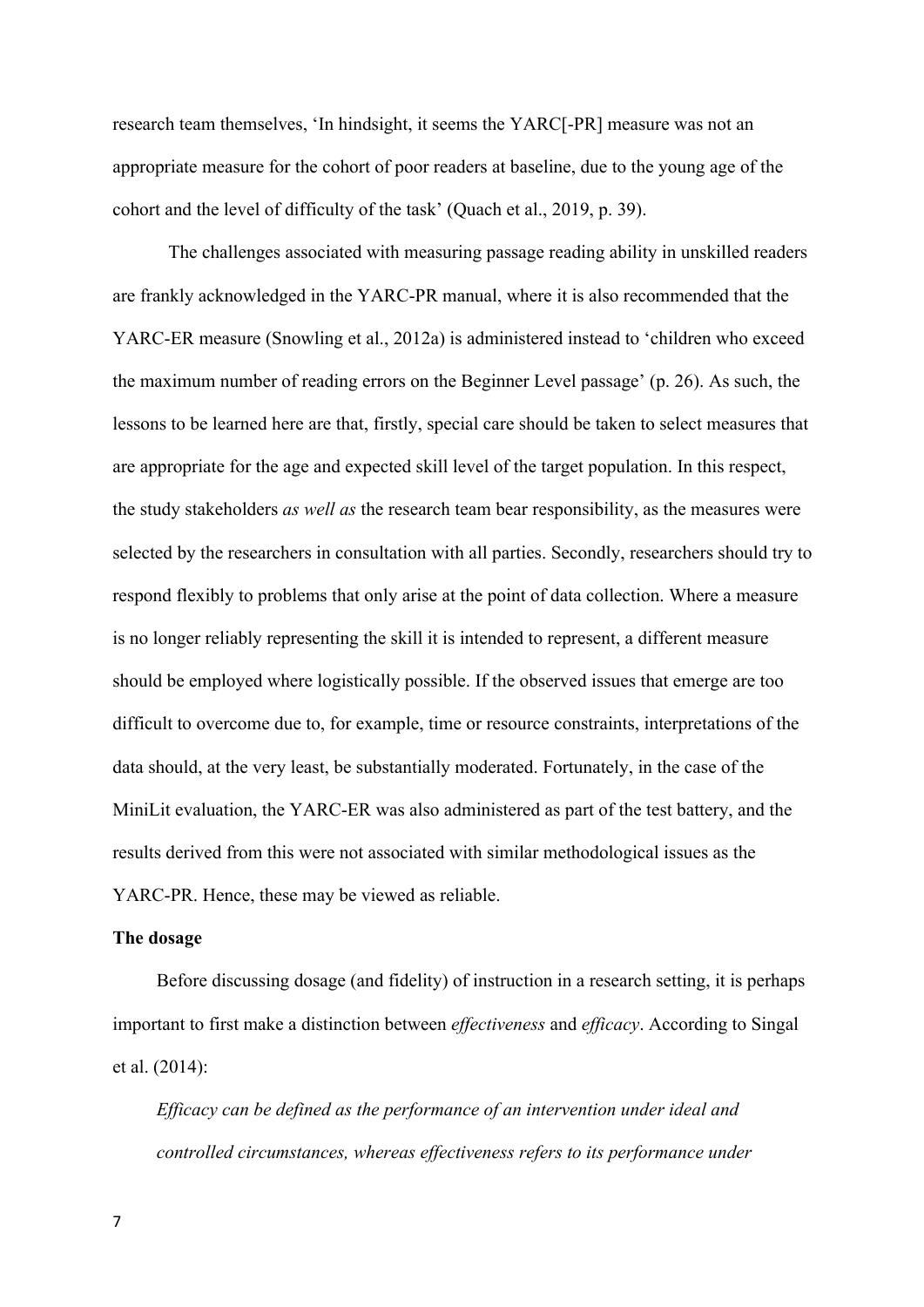research team themselves, 'In hindsight, it seems the YARC[-PR] measure was not an appropriate measure for the cohort of poor readers at baseline, due to the young age of the cohort and the level of difficulty of the task' (Quach et al., 2019, p. 39).

The challenges associated with measuring passage reading ability in unskilled readers are frankly acknowledged in the YARC-PR manual, where it is also recommended that the YARC-ER measure (Snowling et al., 2012a) is administered instead to 'children who exceed the maximum number of reading errors on the Beginner Level passage' (p. 26). As such, the lessons to be learned here are that, firstly, special care should be taken to select measures that are appropriate for the age and expected skill level of the target population. In this respect, the study stakeholders *as well as* the research team bear responsibility, as the measures were selected by the researchers in consultation with all parties. Secondly, researchers should try to respond flexibly to problems that only arise at the point of data collection. Where a measure is no longer reliably representing the skill it is intended to represent, a different measure should be employed where logistically possible. If the observed issues that emerge are too difficult to overcome due to, for example, time or resource constraints, interpretations of the data should, at the very least, be substantially moderated. Fortunately, in the case of the MiniLit evaluation, the YARC-ER was also administered as part of the test battery, and the results derived from this were not associated with similar methodological issues as the YARC-PR. Hence, these may be viewed as reliable.

#### **The dosage**

Before discussing dosage (and fidelity) of instruction in a research setting, it is perhaps important to first make a distinction between *effectiveness* and *efficacy*. According to Singal et al. (2014):

*Efficacy can be defined as the performance of an intervention under ideal and controlled circumstances, whereas effectiveness refers to its performance under*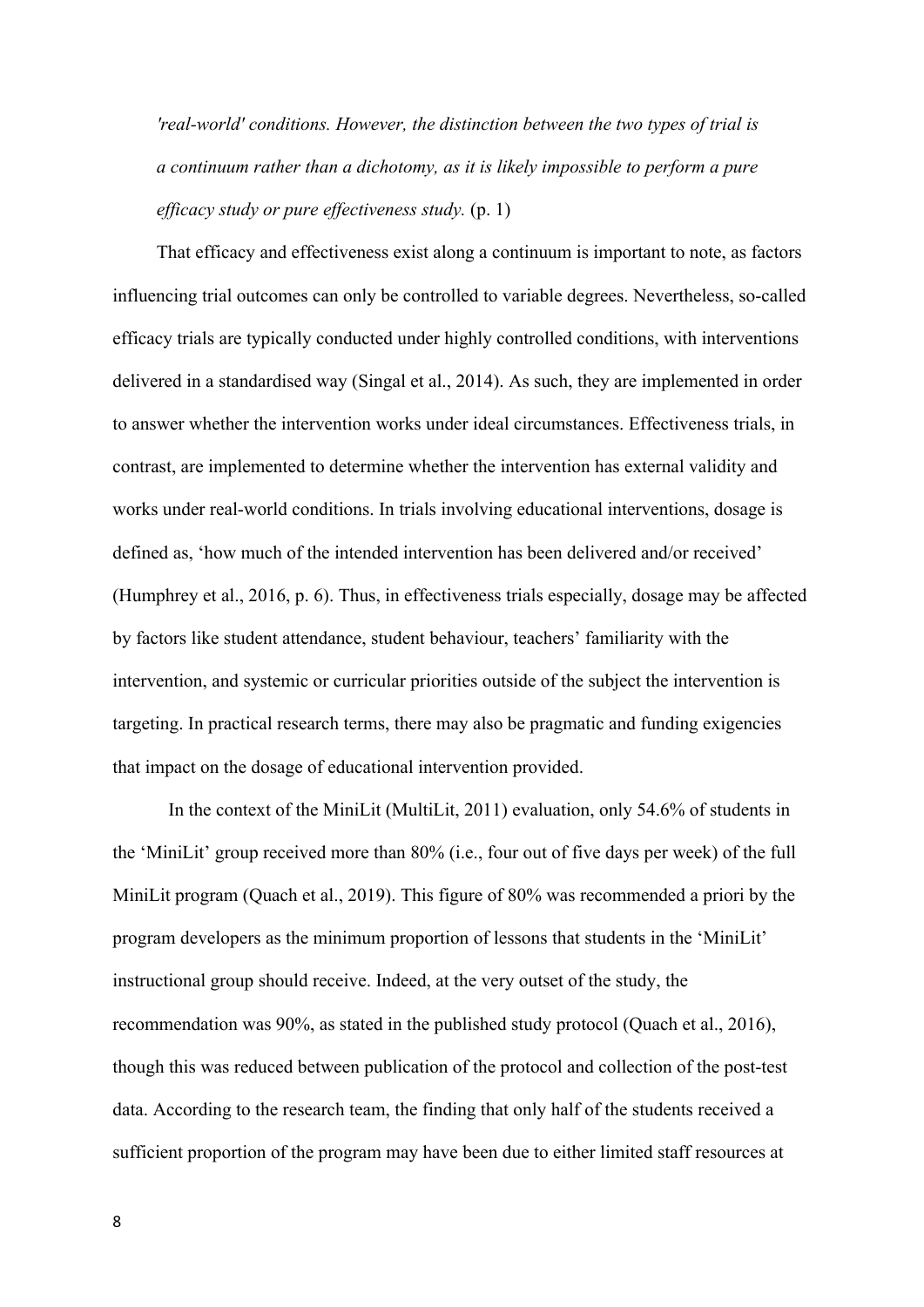*'real-world' conditions. However, the distinction between the two types of trial is a continuum rather than a dichotomy, as it is likely impossible to perform a pure efficacy study or pure effectiveness study.* (p. 1)

That efficacy and effectiveness exist along a continuum is important to note, as factors influencing trial outcomes can only be controlled to variable degrees. Nevertheless, so-called efficacy trials are typically conducted under highly controlled conditions, with interventions delivered in a standardised way (Singal et al., 2014). As such, they are implemented in order to answer whether the intervention works under ideal circumstances. Effectiveness trials, in contrast, are implemented to determine whether the intervention has external validity and works under real-world conditions. In trials involving educational interventions, dosage is defined as, 'how much of the intended intervention has been delivered and/or received' (Humphrey et al., 2016, p. 6). Thus, in effectiveness trials especially, dosage may be affected by factors like student attendance, student behaviour, teachers' familiarity with the intervention, and systemic or curricular priorities outside of the subject the intervention is targeting. In practical research terms, there may also be pragmatic and funding exigencies that impact on the dosage of educational intervention provided.

In the context of the MiniLit (MultiLit, 2011) evaluation, only 54.6% of students in the 'MiniLit' group received more than 80% (i.e., four out of five days per week) of the full MiniLit program (Quach et al., 2019). This figure of 80% was recommended a priori by the program developers as the minimum proportion of lessons that students in the 'MiniLit' instructional group should receive. Indeed, at the very outset of the study, the recommendation was 90%, as stated in the published study protocol (Quach et al., 2016), though this was reduced between publication of the protocol and collection of the post-test data. According to the research team, the finding that only half of the students received a sufficient proportion of the program may have been due to either limited staff resources at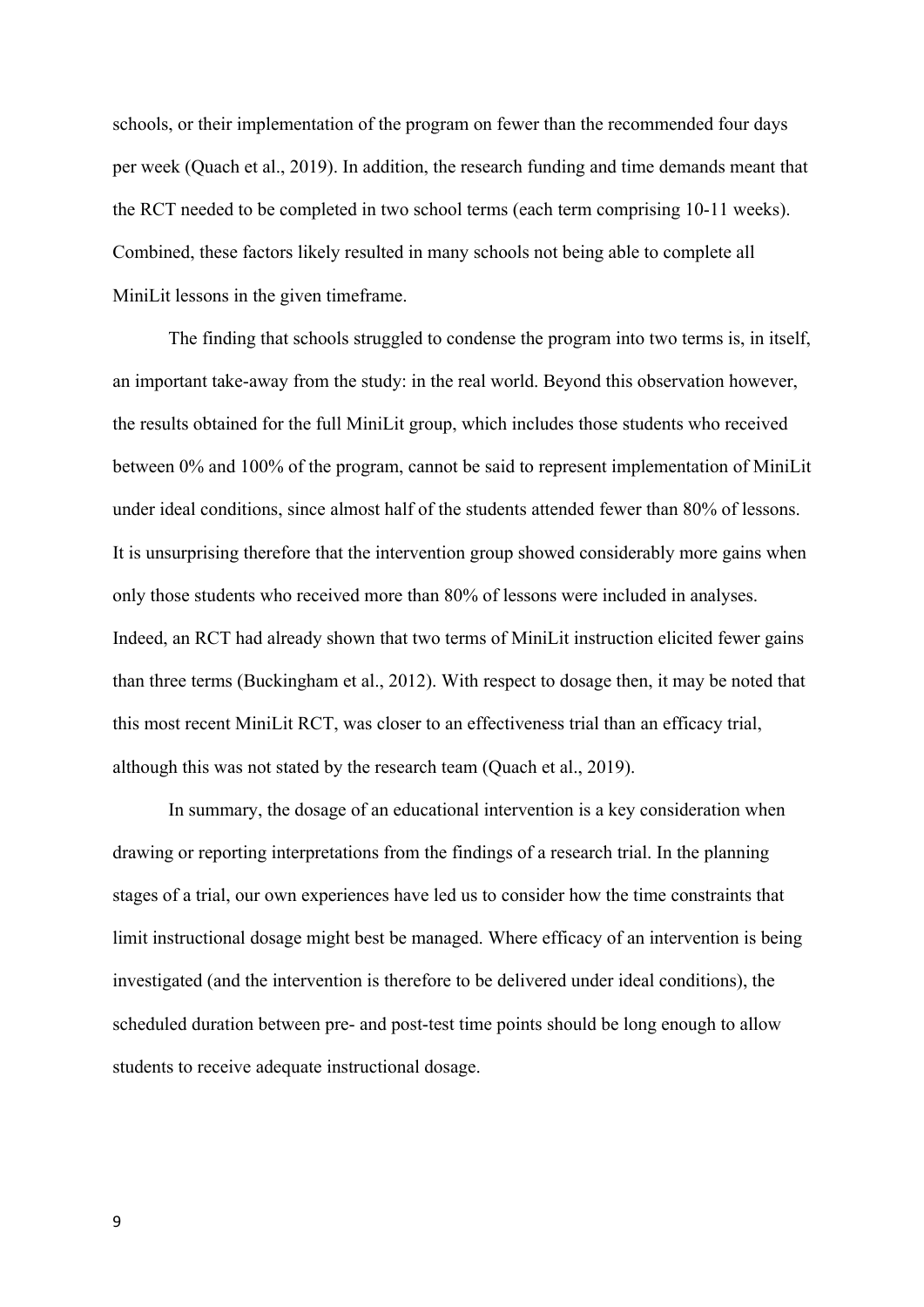schools, or their implementation of the program on fewer than the recommended four days per week (Quach et al., 2019). In addition, the research funding and time demands meant that the RCT needed to be completed in two school terms (each term comprising 10-11 weeks). Combined, these factors likely resulted in many schools not being able to complete all MiniLit lessons in the given timeframe.

The finding that schools struggled to condense the program into two terms is, in itself, an important take-away from the study: in the real world. Beyond this observation however, the results obtained for the full MiniLit group, which includes those students who received between 0% and 100% of the program, cannot be said to represent implementation of MiniLit under ideal conditions, since almost half of the students attended fewer than 80% of lessons. It is unsurprising therefore that the intervention group showed considerably more gains when only those students who received more than 80% of lessons were included in analyses. Indeed, an RCT had already shown that two terms of MiniLit instruction elicited fewer gains than three terms (Buckingham et al., 2012). With respect to dosage then, it may be noted that this most recent MiniLit RCT, was closer to an effectiveness trial than an efficacy trial, although this was not stated by the research team (Quach et al., 2019).

In summary, the dosage of an educational intervention is a key consideration when drawing or reporting interpretations from the findings of a research trial. In the planning stages of a trial, our own experiences have led us to consider how the time constraints that limit instructional dosage might best be managed. Where efficacy of an intervention is being investigated (and the intervention is therefore to be delivered under ideal conditions), the scheduled duration between pre- and post-test time points should be long enough to allow students to receive adequate instructional dosage.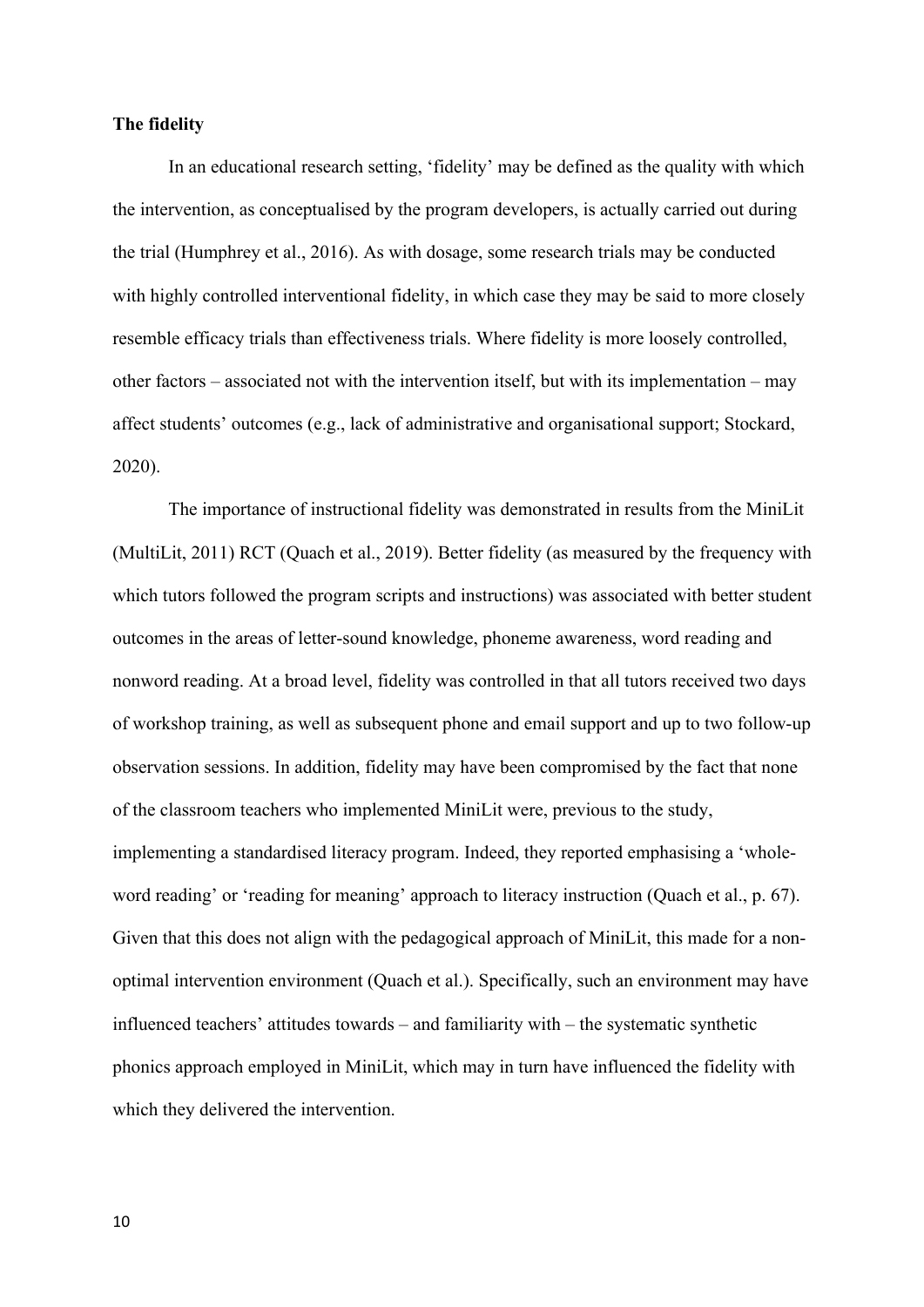# **The fidelity**

In an educational research setting, 'fidelity' may be defined as the quality with which the intervention, as conceptualised by the program developers, is actually carried out during the trial (Humphrey et al., 2016). As with dosage, some research trials may be conducted with highly controlled interventional fidelity, in which case they may be said to more closely resemble efficacy trials than effectiveness trials. Where fidelity is more loosely controlled, other factors – associated not with the intervention itself, but with its implementation – may affect students' outcomes (e.g., lack of administrative and organisational support; Stockard, 2020).

The importance of instructional fidelity was demonstrated in results from the MiniLit (MultiLit, 2011) RCT (Quach et al., 2019). Better fidelity (as measured by the frequency with which tutors followed the program scripts and instructions) was associated with better student outcomes in the areas of letter-sound knowledge, phoneme awareness, word reading and nonword reading. At a broad level, fidelity was controlled in that all tutors received two days of workshop training, as well as subsequent phone and email support and up to two follow-up observation sessions. In addition, fidelity may have been compromised by the fact that none of the classroom teachers who implemented MiniLit were, previous to the study, implementing a standardised literacy program. Indeed, they reported emphasising a 'wholeword reading' or 'reading for meaning' approach to literacy instruction (Quach et al., p. 67). Given that this does not align with the pedagogical approach of MiniLit, this made for a nonoptimal intervention environment (Quach et al.). Specifically, such an environment may have influenced teachers' attitudes towards – and familiarity with – the systematic synthetic phonics approach employed in MiniLit, which may in turn have influenced the fidelity with which they delivered the intervention.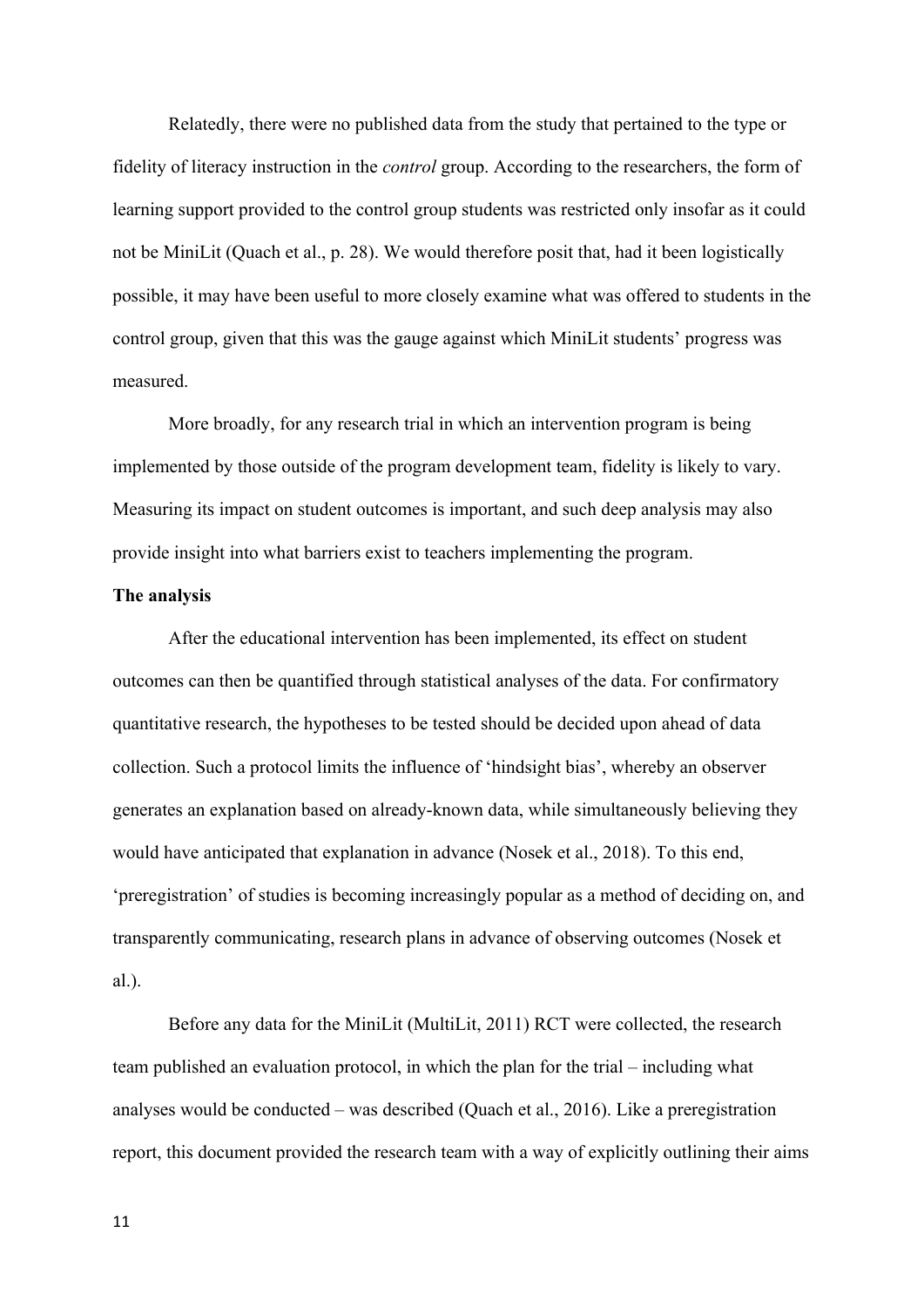Relatedly, there were no published data from the study that pertained to the type or fidelity of literacy instruction in the *control* group. According to the researchers, the form of learning support provided to the control group students was restricted only insofar as it could not be MiniLit (Quach et al., p. 28). We would therefore posit that, had it been logistically possible, it may have been useful to more closely examine what was offered to students in the control group, given that this was the gauge against which MiniLit students' progress was measured.

More broadly, for any research trial in which an intervention program is being implemented by those outside of the program development team, fidelity is likely to vary. Measuring its impact on student outcomes is important, and such deep analysis may also provide insight into what barriers exist to teachers implementing the program.

## **The analysis**

After the educational intervention has been implemented, its effect on student outcomes can then be quantified through statistical analyses of the data. For confirmatory quantitative research, the hypotheses to be tested should be decided upon ahead of data collection. Such a protocol limits the influence of 'hindsight bias', whereby an observer generates an explanation based on already-known data, while simultaneously believing they would have anticipated that explanation in advance (Nosek et al., 2018). To this end, 'preregistration' of studies is becoming increasingly popular as a method of deciding on, and transparently communicating, research plans in advance of observing outcomes (Nosek et al.).

Before any data for the MiniLit (MultiLit, 2011) RCT were collected, the research team published an evaluation protocol, in which the plan for the trial – including what analyses would be conducted – was described (Quach et al., 2016). Like a preregistration report, this document provided the research team with a way of explicitly outlining their aims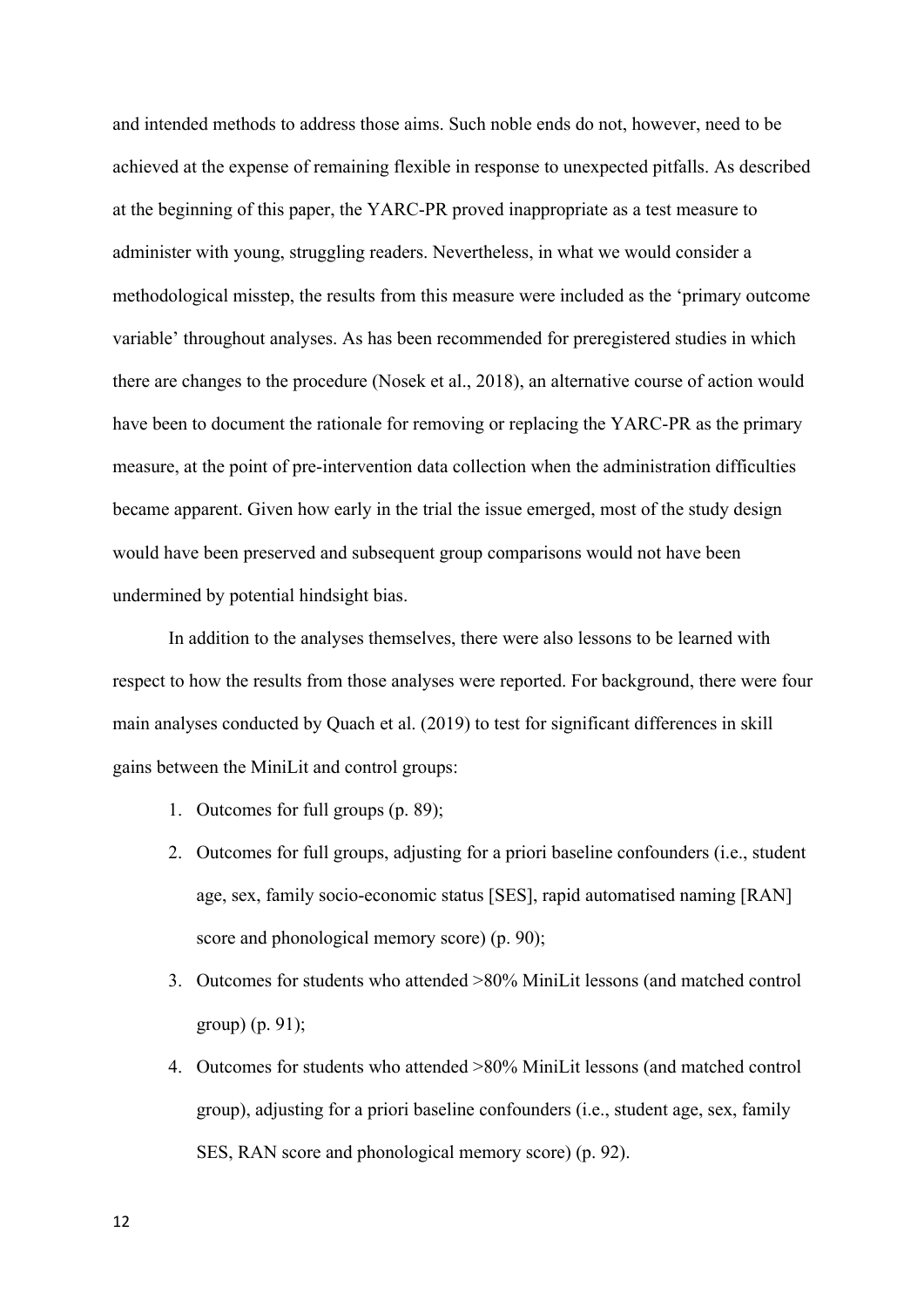and intended methods to address those aims. Such noble ends do not, however, need to be achieved at the expense of remaining flexible in response to unexpected pitfalls. As described at the beginning of this paper, the YARC-PR proved inappropriate as a test measure to administer with young, struggling readers. Nevertheless, in what we would consider a methodological misstep, the results from this measure were included as the 'primary outcome variable' throughout analyses. As has been recommended for preregistered studies in which there are changes to the procedure (Nosek et al., 2018), an alternative course of action would have been to document the rationale for removing or replacing the YARC-PR as the primary measure, at the point of pre-intervention data collection when the administration difficulties became apparent. Given how early in the trial the issue emerged, most of the study design would have been preserved and subsequent group comparisons would not have been undermined by potential hindsight bias.

In addition to the analyses themselves, there were also lessons to be learned with respect to how the results from those analyses were reported. For background, there were four main analyses conducted by Quach et al. (2019) to test for significant differences in skill gains between the MiniLit and control groups:

- 1. Outcomes for full groups (p. 89);
- 2. Outcomes for full groups, adjusting for a priori baseline confounders (i.e., student age, sex, family socio-economic status [SES], rapid automatised naming [RAN] score and phonological memory score) (p. 90);
- 3. Outcomes for students who attended >80% MiniLit lessons (and matched control group) (p. 91);
- 4. Outcomes for students who attended >80% MiniLit lessons (and matched control group), adjusting for a priori baseline confounders (i.e., student age, sex, family SES, RAN score and phonological memory score) (p. 92).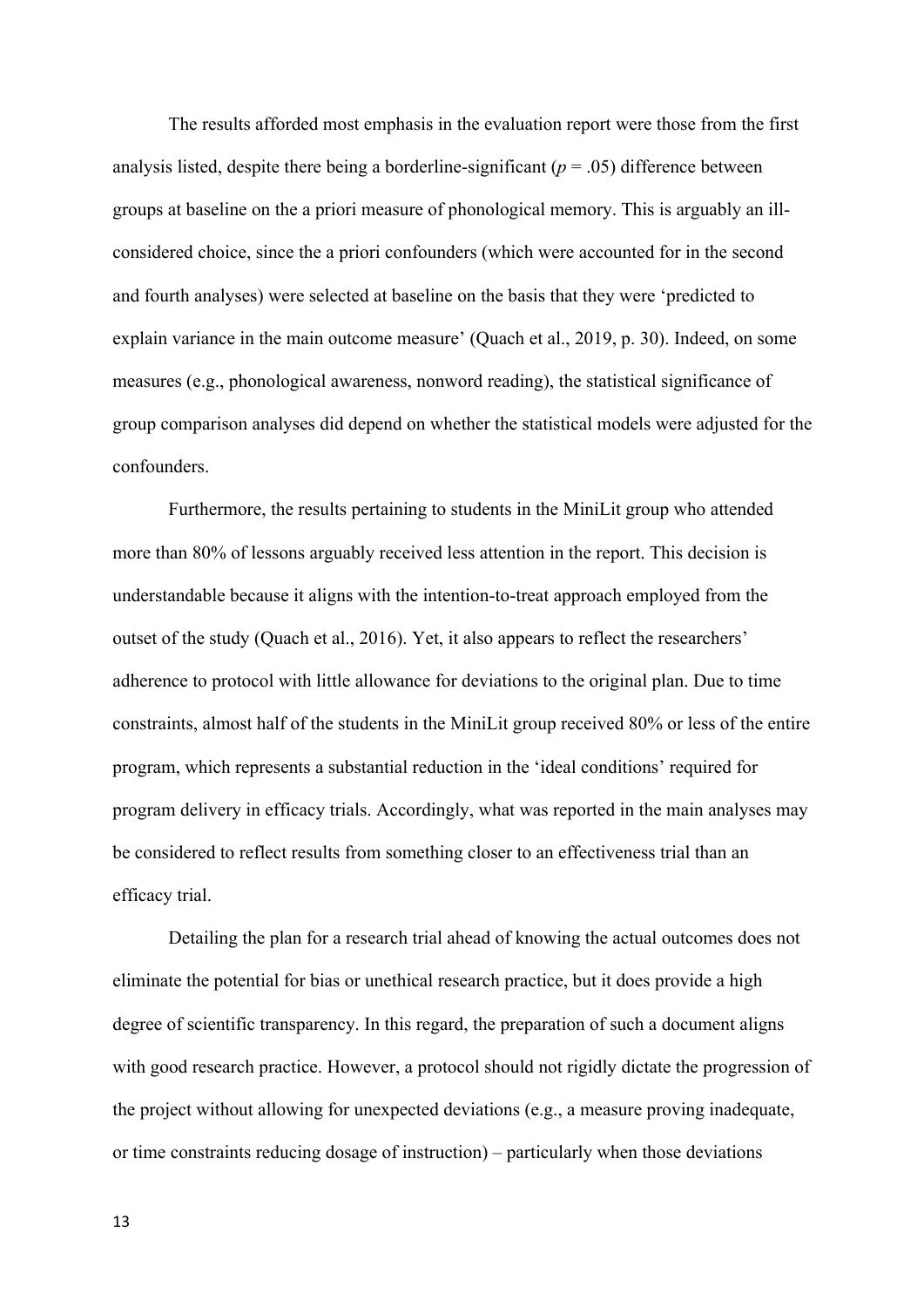The results afforded most emphasis in the evaluation report were those from the first analysis listed, despite there being a borderline-significant  $(p = .05)$  difference between groups at baseline on the a priori measure of phonological memory. This is arguably an illconsidered choice, since the a priori confounders (which were accounted for in the second and fourth analyses) were selected at baseline on the basis that they were 'predicted to explain variance in the main outcome measure' (Quach et al., 2019, p. 30). Indeed, on some measures (e.g., phonological awareness, nonword reading), the statistical significance of group comparison analyses did depend on whether the statistical models were adjusted for the confounders.

Furthermore, the results pertaining to students in the MiniLit group who attended more than 80% of lessons arguably received less attention in the report. This decision is understandable because it aligns with the intention-to-treat approach employed from the outset of the study (Quach et al., 2016). Yet, it also appears to reflect the researchers' adherence to protocol with little allowance for deviations to the original plan. Due to time constraints, almost half of the students in the MiniLit group received 80% or less of the entire program, which represents a substantial reduction in the 'ideal conditions' required for program delivery in efficacy trials. Accordingly, what was reported in the main analyses may be considered to reflect results from something closer to an effectiveness trial than an efficacy trial.

Detailing the plan for a research trial ahead of knowing the actual outcomes does not eliminate the potential for bias or unethical research practice, but it does provide a high degree of scientific transparency. In this regard, the preparation of such a document aligns with good research practice. However, a protocol should not rigidly dictate the progression of the project without allowing for unexpected deviations (e.g., a measure proving inadequate, or time constraints reducing dosage of instruction) – particularly when those deviations

13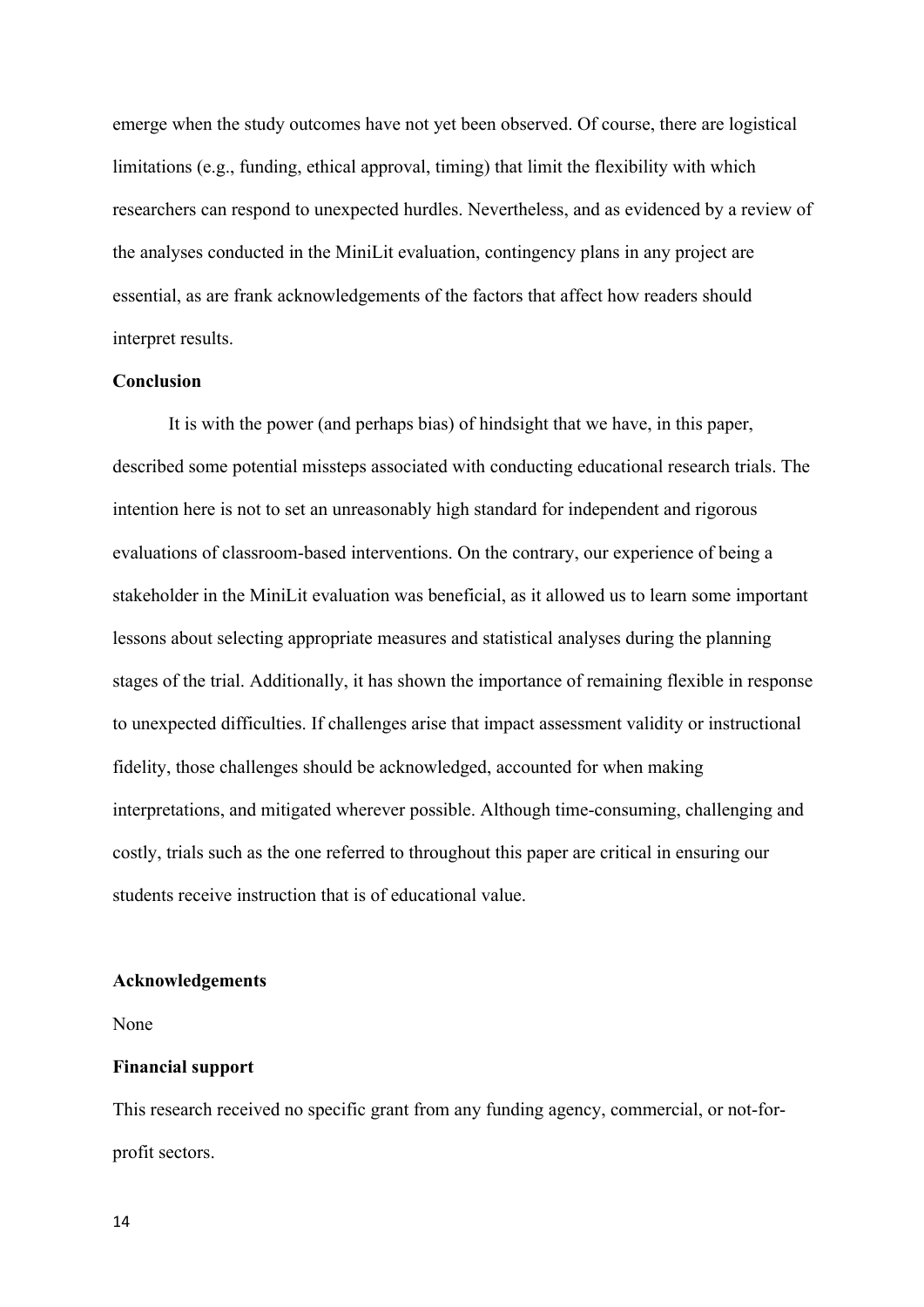emerge when the study outcomes have not yet been observed. Of course, there are logistical limitations (e.g., funding, ethical approval, timing) that limit the flexibility with which researchers can respond to unexpected hurdles. Nevertheless, and as evidenced by a review of the analyses conducted in the MiniLit evaluation, contingency plans in any project are essential, as are frank acknowledgements of the factors that affect how readers should interpret results.

# **Conclusion**

It is with the power (and perhaps bias) of hindsight that we have, in this paper, described some potential missteps associated with conducting educational research trials. The intention here is not to set an unreasonably high standard for independent and rigorous evaluations of classroom-based interventions. On the contrary, our experience of being a stakeholder in the MiniLit evaluation was beneficial, as it allowed us to learn some important lessons about selecting appropriate measures and statistical analyses during the planning stages of the trial. Additionally, it has shown the importance of remaining flexible in response to unexpected difficulties. If challenges arise that impact assessment validity or instructional fidelity, those challenges should be acknowledged, accounted for when making interpretations, and mitigated wherever possible. Although time-consuming, challenging and costly, trials such as the one referred to throughout this paper are critical in ensuring our students receive instruction that is of educational value.

#### **Acknowledgements**

None

# **Financial support**

This research received no specific grant from any funding agency, commercial, or not-forprofit sectors.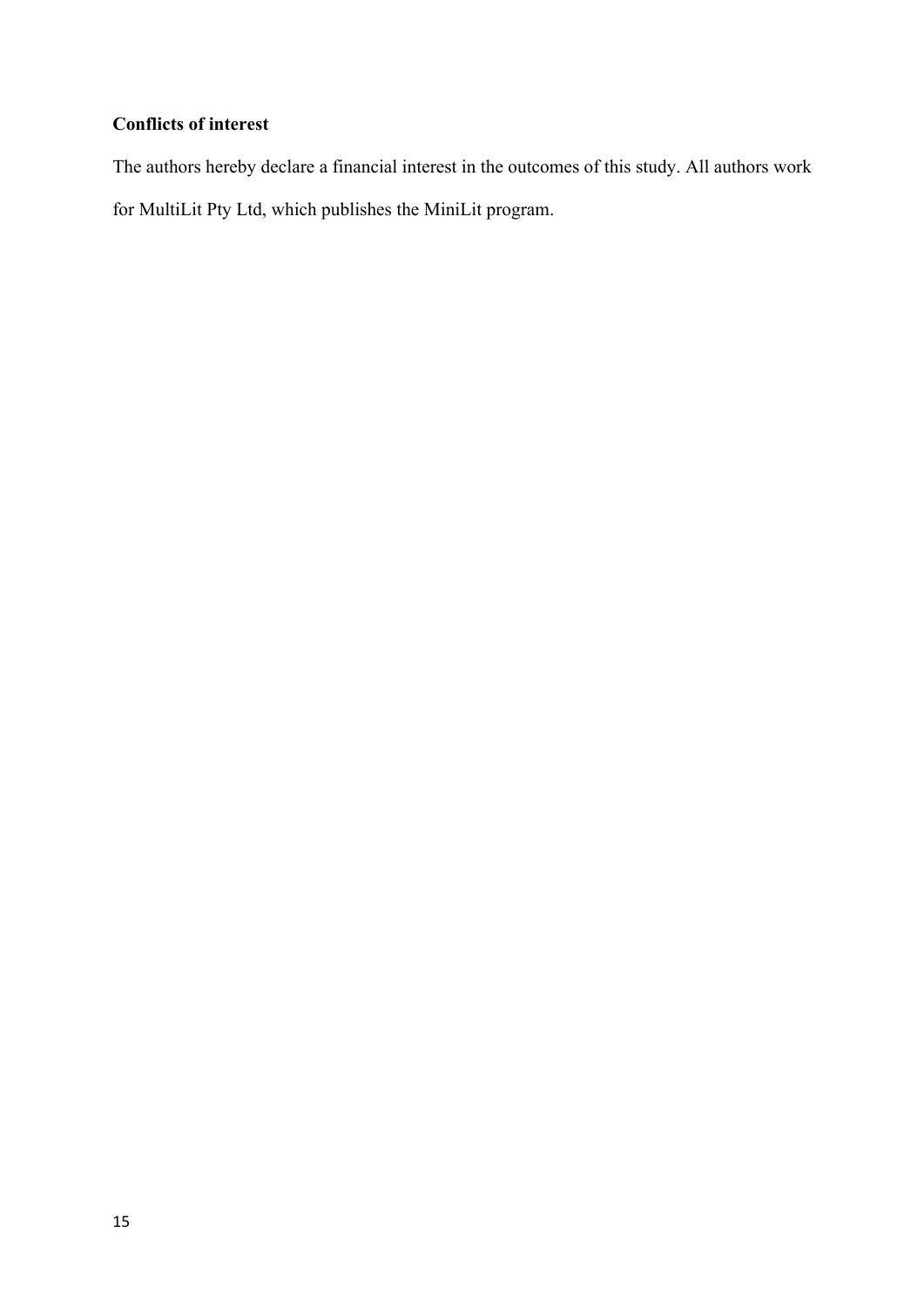# **Conflicts of interest**

The authors hereby declare a financial interest in the outcomes of this study. All authors work for MultiLit Pty Ltd, which publishes the MiniLit program.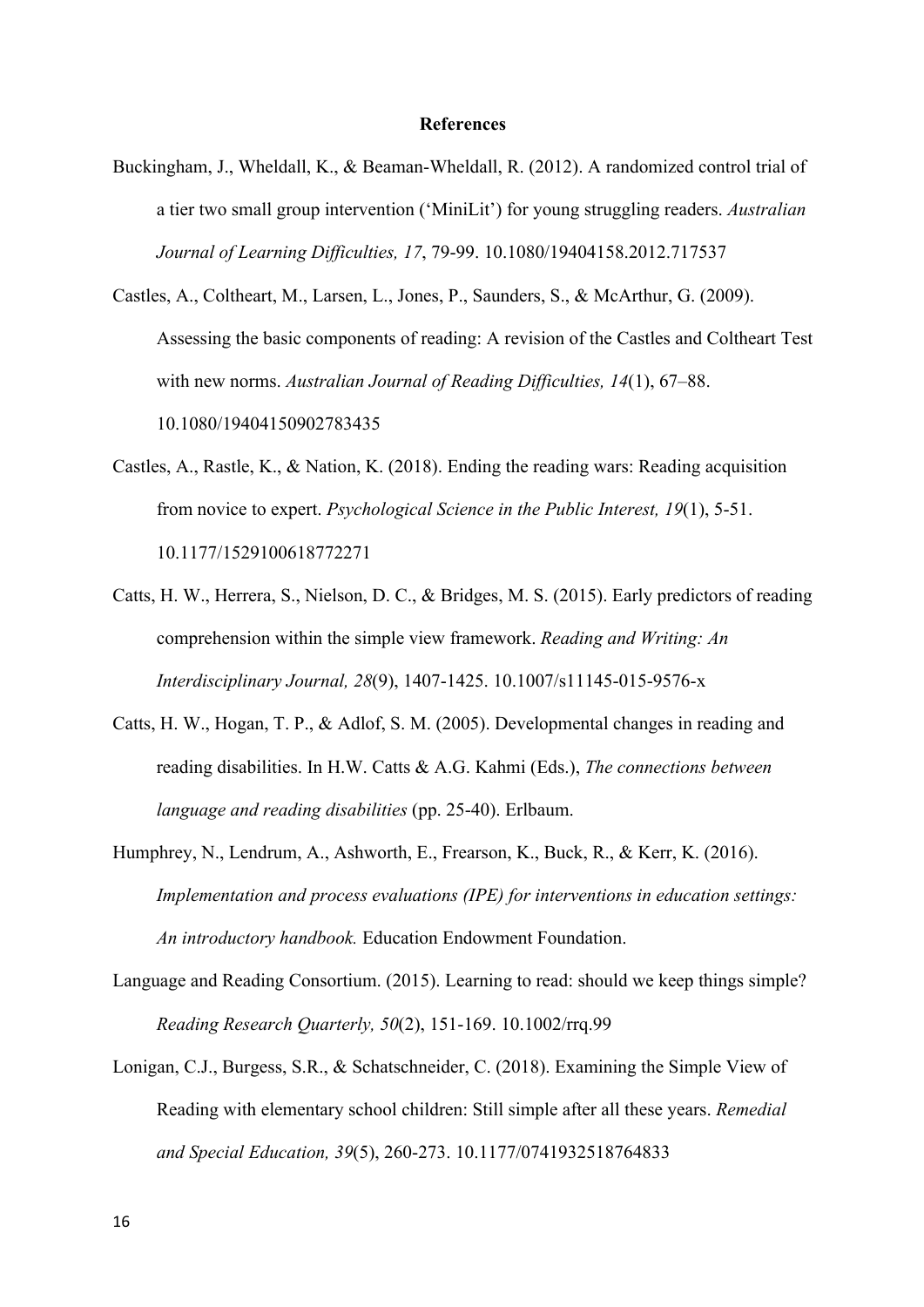#### **References**

- Buckingham, J., Wheldall, K., & Beaman-Wheldall, R. (2012). A randomized control trial of a tier two small group intervention ('MiniLit') for young struggling readers. *Australian Journal of Learning Difficulties, 17*, 79-99. 10.1080/19404158.2012.717537
- Castles, A., Coltheart, M., Larsen, L., Jones, P., Saunders, S., & McArthur, G. (2009). Assessing the basic components of reading: A revision of the Castles and Coltheart Test with new norms. *Australian Journal of Reading Difficulties, 14*(1), 67–88. 10.1080/19404150902783435
- Castles, A., Rastle, K., & Nation, K. (2018). Ending the reading wars: Reading acquisition from novice to expert. *Psychological Science in the Public Interest, 19*(1), 5-51. 10.1177/1529100618772271
- Catts, H. W., Herrera, S., Nielson, D. C., & Bridges, M. S. (2015). Early predictors of reading comprehension within the simple view framework. *Reading and Writing: An Interdisciplinary Journal, 28*(9), 1407-1425. 10.1007/s11145-015-9576-x
- Catts, H. W., Hogan, T. P., & Adlof, S. M. (2005). Developmental changes in reading and reading disabilities. In H.W. Catts & A.G. Kahmi (Eds.), *The connections between language and reading disabilities* (pp. 25-40). Erlbaum.
- Humphrey, N., Lendrum, A., Ashworth, E., Frearson, K., Buck, R., & Kerr, K. (2016). *Implementation and process evaluations (IPE) for interventions in education settings: An introductory handbook.* Education Endowment Foundation.
- Language and Reading Consortium. (2015). Learning to read: should we keep things simple? *Reading Research Quarterly, 50*(2), 151-169. 10.1002/rrq.99
- Lonigan, C.J., Burgess, S.R., & Schatschneider, C. (2018). Examining the Simple View of Reading with elementary school children: Still simple after all these years. *Remedial and Special Education, 39*(5), 260-273. 10.1177/0741932518764833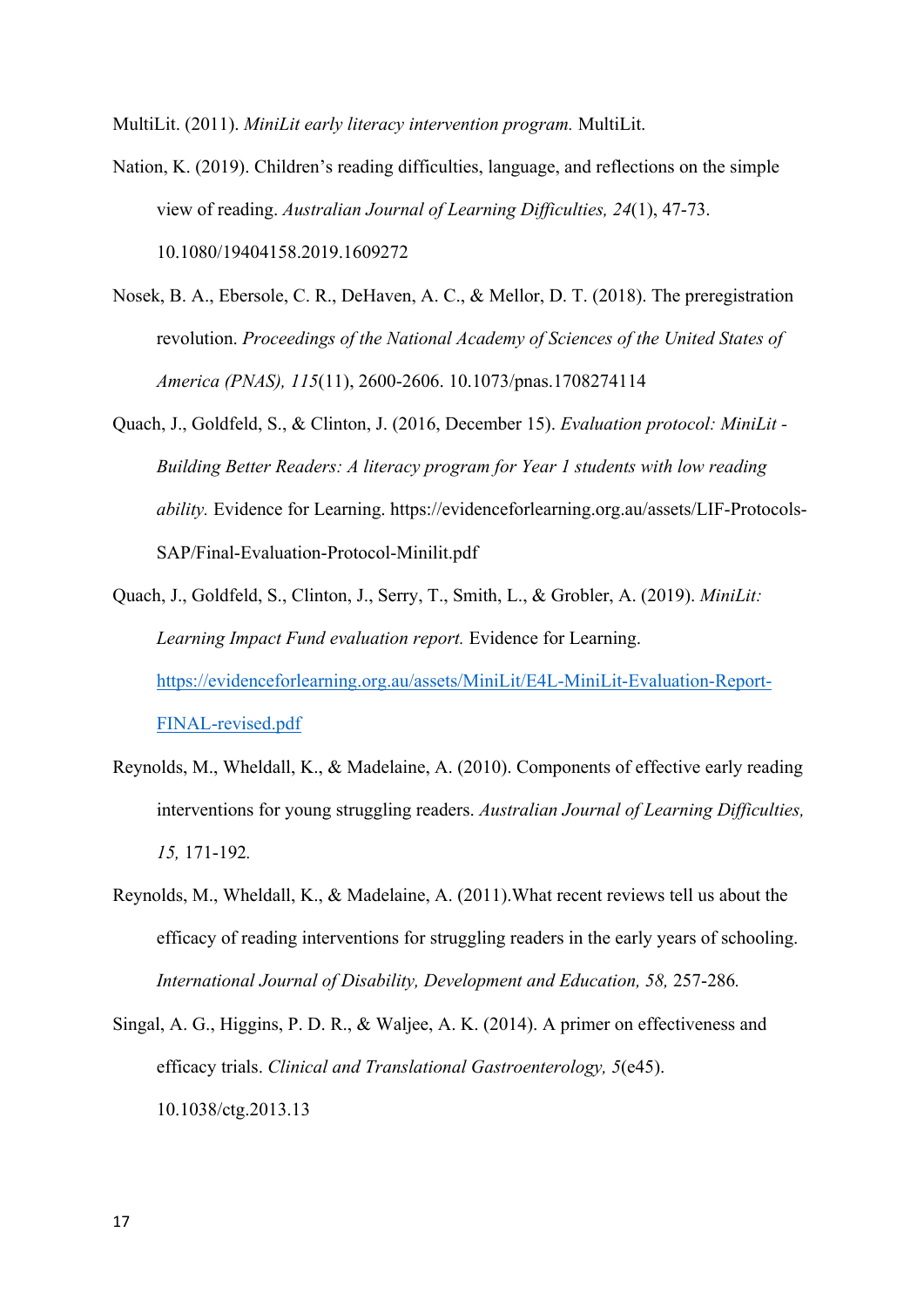MultiLit. (2011). *MiniLit early literacy intervention program.* MultiLit.

- Nation, K. (2019). Children's reading difficulties, language, and reflections on the simple view of reading. *Australian Journal of Learning Difficulties, 24*(1), 47-73. 10.1080/19404158.2019.1609272
- Nosek, B. A., Ebersole, C. R., DeHaven, A. C., & Mellor, D. T. (2018). The preregistration revolution. *Proceedings of the National Academy of Sciences of the United States of America (PNAS), 115*(11), 2600-2606. 10.1073/pnas.1708274114
- Quach, J., Goldfeld, S., & Clinton, J. (2016, December 15). *Evaluation protocol: MiniLit - Building Better Readers: A literacy program for Year 1 students with low reading ability.* Evidence for Learning. https://evidenceforlearning.org.au/assets/LIF-Protocols-SAP/Final-Evaluation-Protocol-Minilit.pdf
- Quach, J., Goldfeld, S., Clinton, J., Serry, T., Smith, L., & Grobler, A. (2019). *MiniLit: Learning Impact Fund evaluation report.* Evidence for Learning. https://evidenceforlearning.org.au/assets/MiniLit/E4L-MiniLit-Evaluation-Report-FINAL-revised.pdf
- Reynolds, M., Wheldall, K., & Madelaine, A. (2010). Components of effective early reading interventions for young struggling readers. *Australian Journal of Learning Difficulties, 15,* 171-192*.*
- Reynolds, M., Wheldall, K., & Madelaine, A. (2011).What recent reviews tell us about the efficacy of reading interventions for struggling readers in the early years of schooling. *International Journal of Disability, Development and Education, 58, 257-286.*
- Singal, A. G., Higgins, P. D. R., & Waljee, A. K. (2014). A primer on effectiveness and efficacy trials. *Clinical and Translational Gastroenterology, 5*(e45). 10.1038/ctg.2013.13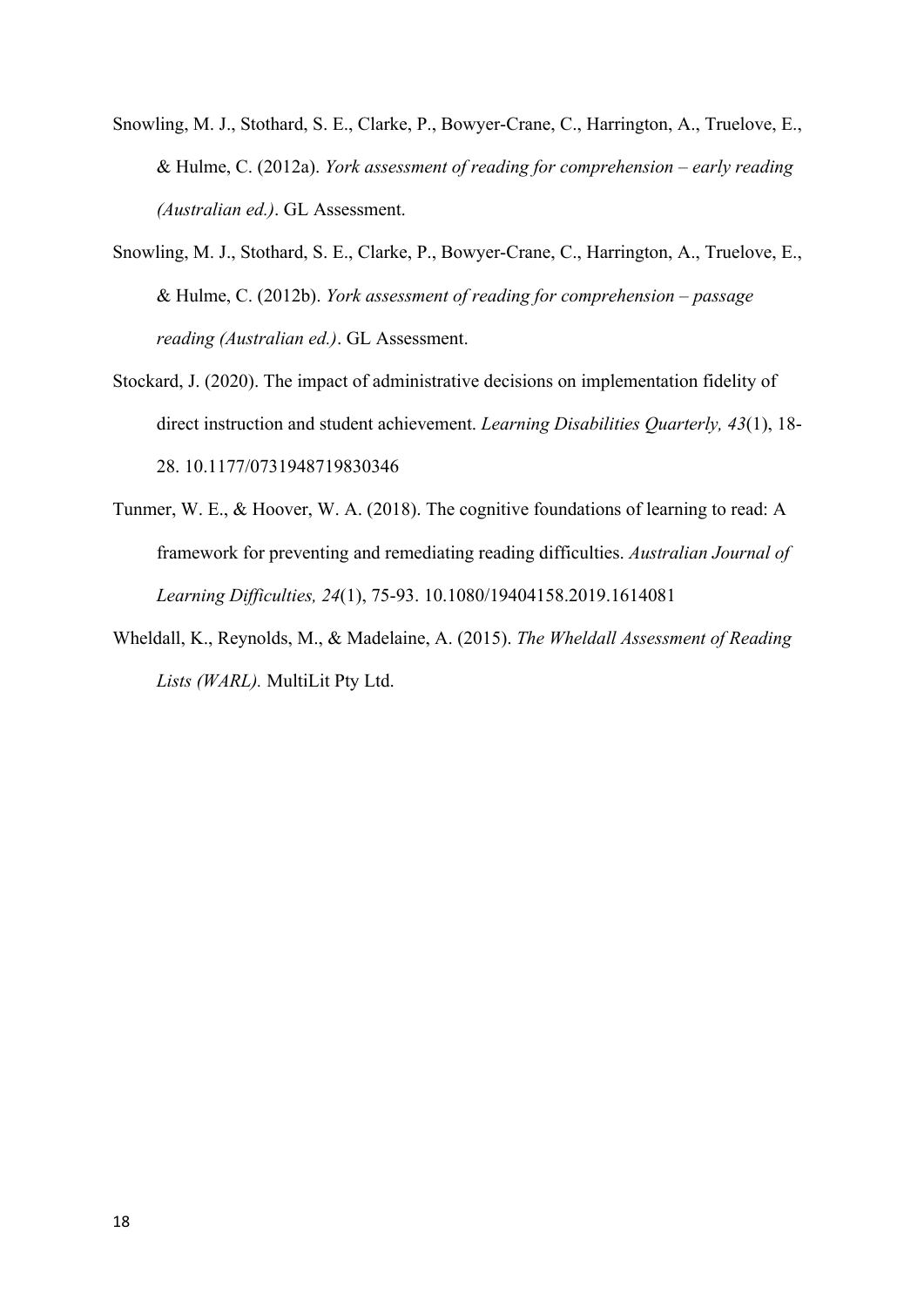- Snowling, M. J., Stothard, S. E., Clarke, P., Bowyer-Crane, C., Harrington, A., Truelove, E., & Hulme, C. (2012a). *York assessment of reading for comprehension – early reading (Australian ed.)*. GL Assessment.
- Snowling, M. J., Stothard, S. E., Clarke, P., Bowyer-Crane, C., Harrington, A., Truelove, E., & Hulme, C. (2012b). *York assessment of reading for comprehension – passage reading (Australian ed.)*. GL Assessment.
- Stockard, J. (2020). The impact of administrative decisions on implementation fidelity of direct instruction and student achievement. *Learning Disabilities Quarterly, 43*(1), 18- 28. 10.1177/0731948719830346
- Tunmer, W. E., & Hoover, W. A. (2018). The cognitive foundations of learning to read: A framework for preventing and remediating reading difficulties. *Australian Journal of Learning Difficulties, 24*(1), 75-93. 10.1080/19404158.2019.1614081
- Wheldall, K., Reynolds, M., & Madelaine, A. (2015). *The Wheldall Assessment of Reading Lists (WARL).* MultiLit Pty Ltd.